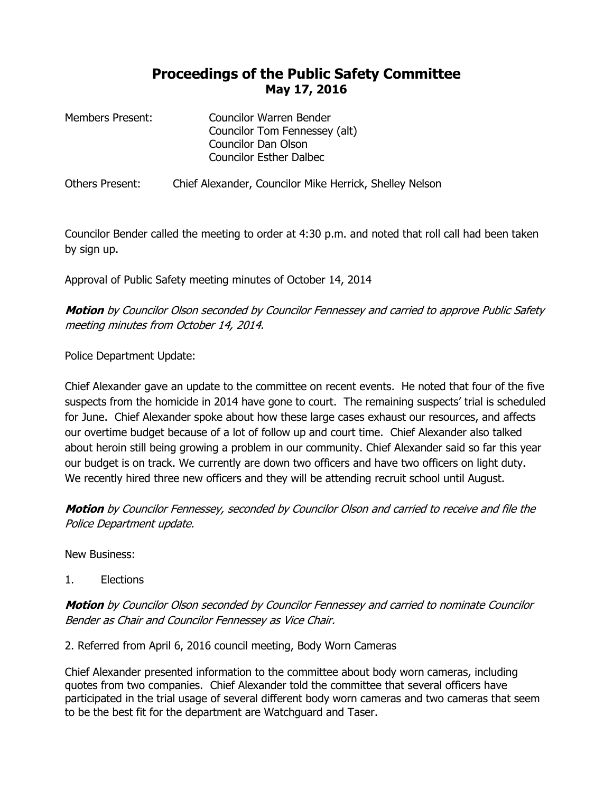## **Proceedings of the Public Safety Committee May 17, 2016**

| Members Present: | Councilor Warren Bender        |
|------------------|--------------------------------|
|                  | Councilor Tom Fennessey (alt)  |
|                  | <b>Councilor Dan Olson</b>     |
|                  | <b>Councilor Esther Dalbec</b> |
|                  |                                |

Others Present: Chief Alexander, Councilor Mike Herrick, Shelley Nelson

Councilor Bender called the meeting to order at 4:30 p.m. and noted that roll call had been taken by sign up.

Approval of Public Safety meeting minutes of October 14, 2014

## **Motion** by Councilor Olson seconded by Councilor Fennessey and carried to approve Public Safety meeting minutes from October 14, 2014.

Police Department Update:

Chief Alexander gave an update to the committee on recent events. He noted that four of the five suspects from the homicide in 2014 have gone to court. The remaining suspects' trial is scheduled for June. Chief Alexander spoke about how these large cases exhaust our resources, and affects our overtime budget because of a lot of follow up and court time. Chief Alexander also talked about heroin still being growing a problem in our community. Chief Alexander said so far this year our budget is on track. We currently are down two officers and have two officers on light duty. We recently hired three new officers and they will be attending recruit school until August.

**Motion** by Councilor Fennessey, seconded by Councilor Olson and carried to receive and file the Police Department update.

New Business:

1. Elections

**Motion** by Councilor Olson seconded by Councilor Fennessey and carried to nominate Councilor Bender as Chair and Councilor Fennessey as Vice Chair.

2. Referred from April 6, 2016 council meeting, Body Worn Cameras

Chief Alexander presented information to the committee about body worn cameras, including quotes from two companies. Chief Alexander told the committee that several officers have participated in the trial usage of several different body worn cameras and two cameras that seem to be the best fit for the department are Watchguard and Taser.